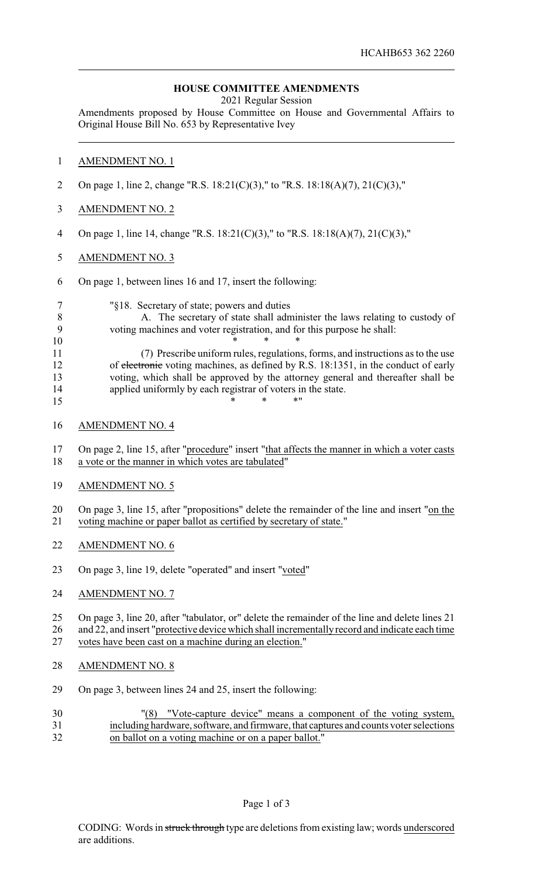## **HOUSE COMMITTEE AMENDMENTS**

2021 Regular Session

Amendments proposed by House Committee on House and Governmental Affairs to Original House Bill No. 653 by Representative Ivey

## AMENDMENT NO. 1

- On page 1, line 2, change "R.S. 18:21(C)(3)," to "R.S. 18:18(A)(7), 21(C)(3),"
- AMENDMENT NO. 2
- On page 1, line 14, change "R.S. 18:21(C)(3)," to "R.S. 18:18(A)(7), 21(C)(3),"
- AMENDMENT NO. 3
- On page 1, between lines 16 and 17, insert the following:

"§18. Secretary of state; powers and duties

 A. The secretary of state shall administer the laws relating to custody of voting machines and voter registration, and for this purpose he shall: \* \* \*

 (7) Prescribe uniform rules, regulations, forms, and instructions as to the use 12 of electronic voting machines, as defined by R.S. 18:1351, in the conduct of early voting, which shall be approved by the attorney general and thereafter shall be applied uniformly by each registrar of voters in the state. \* \* \* \* "

AMENDMENT NO. 4

 On page 2, line 15, after "procedure" insert "that affects the manner in which a voter casts a vote or the manner in which votes are tabulated"

AMENDMENT NO. 5

20 On page 3, line 15, after "propositions" delete the remainder of the line and insert "on the voting machine or paper ballot as certified by secretary of state."

- AMENDMENT NO. 6
- On page 3, line 19, delete "operated" and insert "voted"
- AMENDMENT NO. 7

 On page 3, line 20, after "tabulator, or" delete the remainder of the line and delete lines 21 26 and 22, and insert "protective device which shall incrementally record and indicate each time

votes have been cast on a machine during an election."

- AMENDMENT NO. 8
- On page 3, between lines 24 and 25, insert the following:
- "(8) "Vote-capture device" means a component of the voting system, including hardware, software, and firmware, that captures and counts voter selections on ballot on a voting machine or on a paper ballot."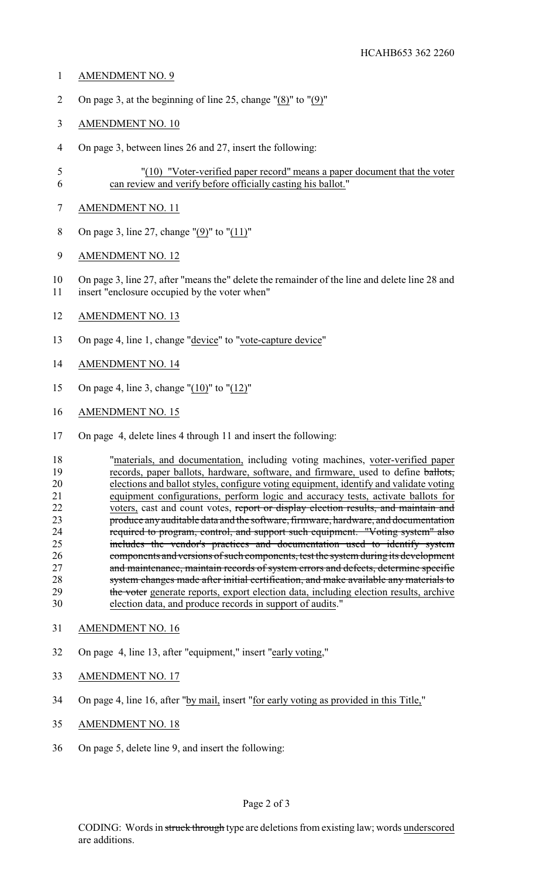- AMENDMENT NO. 9
- On page 3, at the beginning of line 25, change "(8)" to "(9)"
- AMENDMENT NO. 10
- On page 3, between lines 26 and 27, insert the following:
- "(10) "Voter-verified paper record" means a paper document that the voter can review and verify before officially casting his ballot."
- AMENDMENT NO. 11
- On page 3, line 27, change "(9)" to "(11)"
- AMENDMENT NO. 12
- On page 3, line 27, after "means the" delete the remainder of the line and delete line 28 and insert "enclosure occupied by the voter when"
- AMENDMENT NO. 13
- 13 On page 4, line 1, change "device" to "vote-capture device"
- AMENDMENT NO. 14
- On page 4, line 3, change "(10)" to "(12)"
- AMENDMENT NO. 15
- On page 4, delete lines 4 through 11 and insert the following:

 "materials, and documentation, including voting machines, voter-verified paper records, paper ballots, hardware, software, and firmware, used to define ballots, elections and ballot styles, configure voting equipment, identify and validate voting 21 equipment configurations, perform logic and accuracy tests, activate ballots for voters, cast and count votes, report or display election results, and maintain and 22 voters, cast and count votes, report or display election results, and maintain and<br>23 roduce any auditable data and the software, firmware, hardware, and documentation produce any auditable data and the software, firmware, hardware, and documentation required to program, control, and support such equipment. "Voting system" also includes the vendor's practices and documentation used to identify system components and versions of such components, test the system during its development 27 and maintenance, maintain records of system errors and defects, determine specific 28 system changes made after initial certification, and make available any materials to 29 the voter generate reports, export election data, including election results, archive election data, and produce records in support of audits."

- AMENDMENT NO. 16
- On page 4, line 13, after "equipment," insert "early voting,"
- AMENDMENT NO. 17
- On page 4, line 16, after "by mail, insert "for early voting as provided in this Title,"
- AMENDMENT NO. 18
- On page 5, delete line 9, and insert the following: